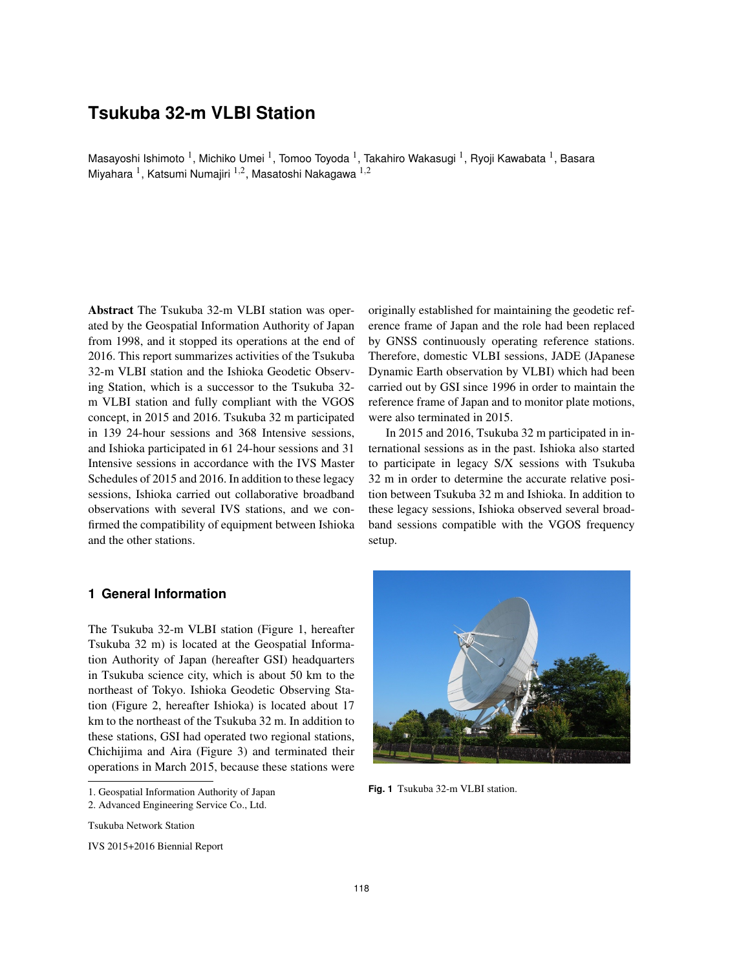# **Tsukuba 32-m VLBI Station**

Masayoshi Ishimoto  $^1$ , Michiko Umei  $^1$ , Tomoo Toyoda  $^1$ , Takahiro Wakasugi  $^1$ , Ryoji Kawabata  $^1$ , Basara Miyahara <sup>1</sup>, Katsumi Numajiri <sup>1,2</sup>, Masatoshi Nakagawa <sup>1,2</sup>

Abstract The Tsukuba 32-m VLBI station was operated by the Geospatial Information Authority of Japan from 1998, and it stopped its operations at the end of 2016. This report summarizes activities of the Tsukuba 32-m VLBI station and the Ishioka Geodetic Observing Station, which is a successor to the Tsukuba 32 m VLBI station and fully compliant with the VGOS concept, in 2015 and 2016. Tsukuba 32 m participated in 139 24-hour sessions and 368 Intensive sessions, and Ishioka participated in 61 24-hour sessions and 31 Intensive sessions in accordance with the IVS Master Schedules of 2015 and 2016. In addition to these legacy sessions, Ishioka carried out collaborative broadband observations with several IVS stations, and we confirmed the compatibility of equipment between Ishioka and the other stations.

## **1 General Information**

The Tsukuba 32-m VLBI station (Figure 1, hereafter Tsukuba 32 m) is located at the Geospatial Information Authority of Japan (hereafter GSI) headquarters in Tsukuba science city, which is about 50 km to the northeast of Tokyo. Ishioka Geodetic Observing Station (Figure 2, hereafter Ishioka) is located about 17 km to the northeast of the Tsukuba 32 m. In addition to these stations, GSI had operated two regional stations, Chichijima and Aira (Figure 3) and terminated their operations in March 2015, because these stations were

Tsukuba Network Station

originally established for maintaining the geodetic reference frame of Japan and the role had been replaced by GNSS continuously operating reference stations. Therefore, domestic VLBI sessions, JADE (JApanese Dynamic Earth observation by VLBI) which had been carried out by GSI since 1996 in order to maintain the reference frame of Japan and to monitor plate motions, were also terminated in 2015.

In 2015 and 2016, Tsukuba 32 m participated in international sessions as in the past. Ishioka also started to participate in legacy S/X sessions with Tsukuba 32 m in order to determine the accurate relative position between Tsukuba 32 m and Ishioka. In addition to these legacy sessions, Ishioka observed several broadband sessions compatible with the VGOS frequency setup.



**Fig. 1** Tsukuba 32-m VLBI station.

<sup>1.</sup> Geospatial Information Authority of Japan

<sup>2.</sup> Advanced Engineering Service Co., Ltd.

IVS 2015+2016 Biennial Report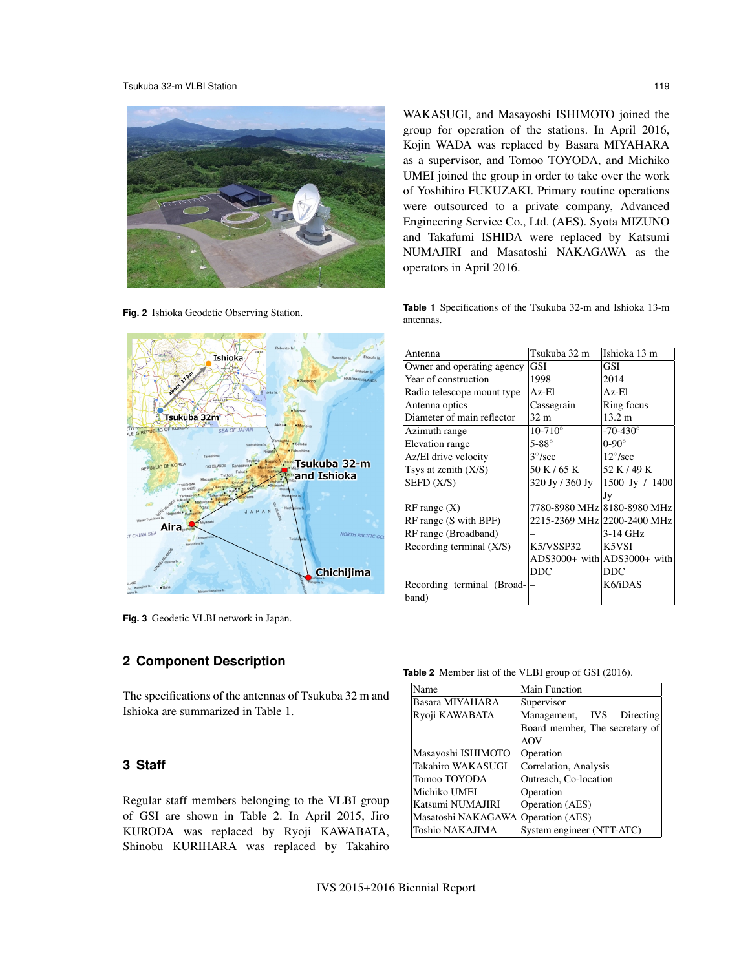

**Fig. 2** Ishioka Geodetic Observing Station.



WAKASUGI, and Masayoshi ISHIMOTO joined the group for operation of the stations. In April 2016, Kojin WADA was replaced by Basara MIYAHARA as a supervisor, and Tomoo TOYODA, and Michiko UMEI joined the group in order to take over the work of Yoshihiro FUKUZAKI. Primary routine operations were outsourced to a private company, Advanced Engineering Service Co., Ltd. (AES). Syota MIZUNO and Takafumi ISHIDA were replaced by Katsumi NUMAJIRI and Masatoshi NAKAGAWA as the operators in April 2016.

**Table 1** Specifications of the Tsukuba 32-m and Ishioka 13-m antennas.

| Antenna                    | Tsukuba 32 m        | Ishioka 13 m                |  |
|----------------------------|---------------------|-----------------------------|--|
| Owner and operating agency | <b>GSI</b>          | GSI                         |  |
| Year of construction       | 1998                | 2014                        |  |
| Radio telescope mount type | Az-El               | Az-El                       |  |
| Antenna optics             | Cassegrain          | Ring focus                  |  |
| Diameter of main reflector | 32 m                | $13.2 \text{ m}$            |  |
| Azimuth range              | $10 - 710^{\circ}$  | $-70-430^{\circ}$           |  |
| Elevation range            | $5-88^\circ$        | $0-90^\circ$                |  |
| Az/El drive velocity       | $3^{\circ}/sec$     | $12^{\circ}/sec$            |  |
| Tsys at zenith $(X/S)$     | 50 K / 65 K         | 52 K / 49 K                 |  |
| SEFD (X/S)                 | $320$ Jy / $360$ Jy | 1500 Jy / 1400              |  |
|                            |                     | Jy                          |  |
| $RF$ range $(X)$           |                     | 7780-8980 MHz 8180-8980 MHz |  |
| RF range (S with BPF)      |                     | 2215-2369 MHz 2200-2400 MHz |  |
| RF range (Broadband)       |                     | $3-14$ GHz                  |  |
| Recording terminal (X/S)   | K5/VSSP32           | K5VSI                       |  |
|                            |                     | ADS3000+ with ADS3000+ with |  |
|                            | DDC                 | <b>DDC</b>                  |  |
| Recording terminal (Broad- |                     | K6/iDAS                     |  |
| band)                      |                     |                             |  |

**Fig. 3** Geodetic VLBI network in Japan.

## **2 Component Description**

The specifications of the antennas of Tsukuba 32 m and Ishioka are summarized in Table 1.

#### **3 Staff**

Regular staff members belonging to the VLBI group of GSI are shown in Table 2. In April 2015, Jiro KURODA was replaced by Ryoji KAWABATA, Shinobu KURIHARA was replaced by Takahiro

**Table 2** Member list of the VLBI group of GSI (2016).

| Name               | Main Function                  |  |
|--------------------|--------------------------------|--|
| Basara MIYAHARA    | Supervisor                     |  |
| Ryoji KAWABATA     | Management, IVS<br>Directing   |  |
|                    | Board member, The secretary of |  |
|                    | AOV                            |  |
| Masayoshi ISHIMOTO | Operation                      |  |
| Takahiro WAKASUGI  | Correlation, Analysis          |  |
| Tomoo TOYODA       | Outreach, Co-location          |  |
| Michiko UMEI       | Operation                      |  |
| Katsumi NUMAJIRI   | Operation (AES)                |  |
| Masatoshi NAKAGAWA | Operation (AES)                |  |
| Toshio NAKAJIMA    | System engineer (NTT-ATC)      |  |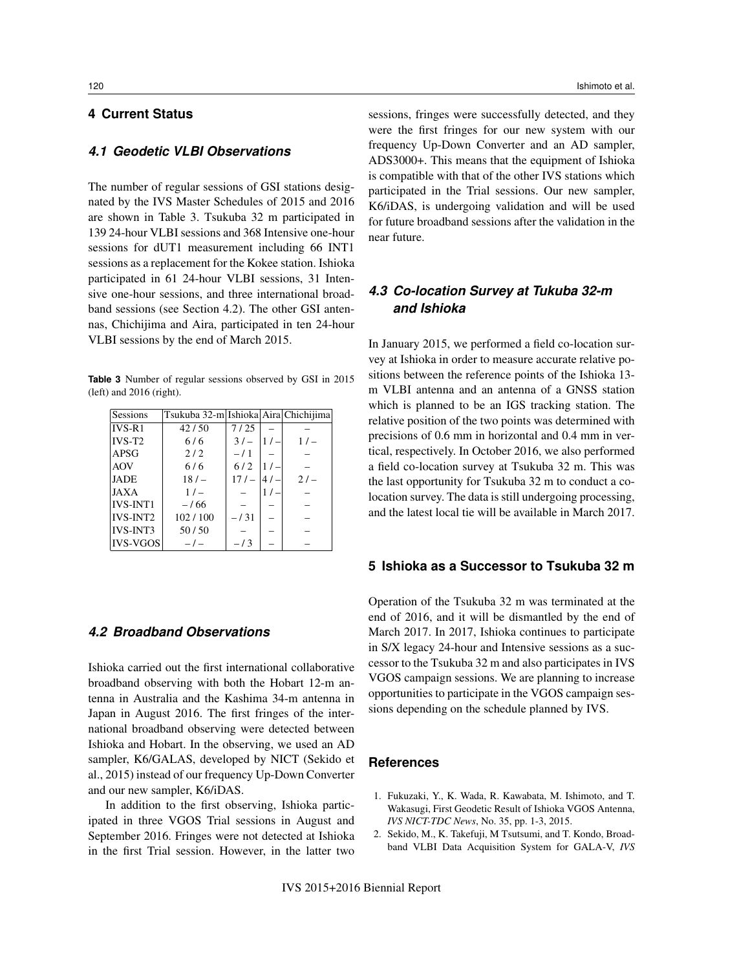## **4 Current Status**

#### *4.1 Geodetic VLBI Observations*

The number of regular sessions of GSI stations designated by the IVS Master Schedules of 2015 and 2016 are shown in Table 3. Tsukuba 32 m participated in 139 24-hour VLBI sessions and 368 Intensive one-hour sessions for dUT1 measurement including 66 INT1 sessions as a replacement for the Kokee station. Ishioka participated in 61 24-hour VLBI sessions, 31 Intensive one-hour sessions, and three international broadband sessions (see Section 4.2). The other GSI antennas, Chichijima and Aira, participated in ten 24-hour VLBI sessions by the end of March 2015.

**Table 3** Number of regular sessions observed by GSI in 2015 (left) and 2016 (right).

| Sessions        | Tsukuba 32-m Ishioka Aira Chichijima |        |        |        |
|-----------------|--------------------------------------|--------|--------|--------|
| $IVS-R1$        | 42/50                                | 7/25   |        |        |
| $IVS-T2$        | 6/6                                  | $31 -$ | 1/     | 1/     |
| <b>APSG</b>     | 2/2                                  | $-11$  |        |        |
| <b>AOV</b>      | 6/6                                  | 6/2    |        |        |
| <b>JADE</b>     | 18/                                  | 17/    | $141-$ | $21 -$ |
| <b>JAXA</b>     | $1/_{\odot}$                         |        |        |        |
| <b>IVS-INT1</b> | $-166$                               |        |        |        |
| <b>IVS-INT2</b> | 102/100                              | $-131$ |        |        |
| <b>IVS-INT3</b> | 50/50                                |        |        |        |
| <b>IVS-VGOS</b> | $-1$                                 | $-13$  |        |        |

## *4.2 Broadband Observations*

Ishioka carried out the first international collaborative broadband observing with both the Hobart 12-m antenna in Australia and the Kashima 34-m antenna in Japan in August 2016. The first fringes of the international broadband observing were detected between Ishioka and Hobart. In the observing, we used an AD sampler, K6/GALAS, developed by NICT (Sekido et al., 2015) instead of our frequency Up-Down Converter and our new sampler, K6/iDAS.

In addition to the first observing, Ishioka participated in three VGOS Trial sessions in August and September 2016. Fringes were not detected at Ishioka in the first Trial session. However, in the latter two

sessions, fringes were successfully detected, and they were the first fringes for our new system with our frequency Up-Down Converter and an AD sampler, ADS3000+. This means that the equipment of Ishioka is compatible with that of the other IVS stations which participated in the Trial sessions. Our new sampler, K6/iDAS, is undergoing validation and will be used for future broadband sessions after the validation in the near future.

## *4.3 Co-location Survey at Tukuba 32-m and Ishioka*

In January 2015, we performed a field co-location survey at Ishioka in order to measure accurate relative positions between the reference points of the Ishioka 13 m VLBI antenna and an antenna of a GNSS station which is planned to be an IGS tracking station. The relative position of the two points was determined with precisions of 0.6 mm in horizontal and 0.4 mm in vertical, respectively. In October 2016, we also performed a field co-location survey at Tsukuba 32 m. This was the last opportunity for Tsukuba 32 m to conduct a colocation survey. The data is still undergoing processing, and the latest local tie will be available in March 2017.

#### **5 Ishioka as a Successor to Tsukuba 32 m**

Operation of the Tsukuba 32 m was terminated at the end of 2016, and it will be dismantled by the end of March 2017. In 2017, Ishioka continues to participate in S/X legacy 24-hour and Intensive sessions as a successor to the Tsukuba 32 m and also participates in IVS VGOS campaign sessions. We are planning to increase opportunities to participate in the VGOS campaign sessions depending on the schedule planned by IVS.

#### **References**

- 1. Fukuzaki, Y., K. Wada, R. Kawabata, M. Ishimoto, and T. Wakasugi, First Geodetic Result of Ishioka VGOS Antenna, *IVS NICT-TDC News*, No. 35, pp. 1-3, 2015.
- 2. Sekido, M., K. Takefuji, M Tsutsumi, and T. Kondo, Broadband VLBI Data Acquisition System for GALA-V, *IVS*